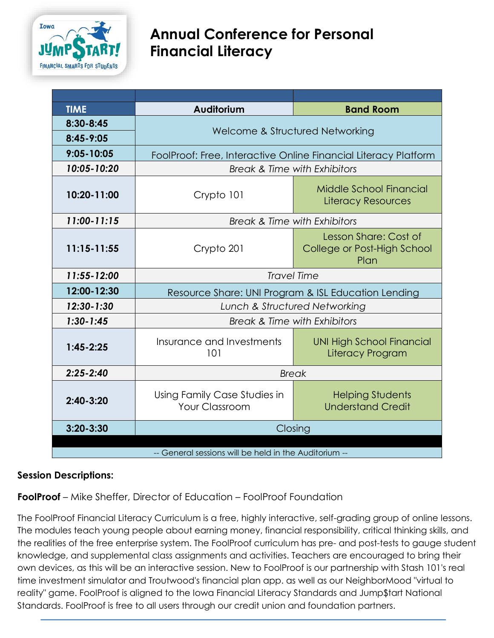

# **Annual Conference for Personal Financial Literacy**

| <b>TIME</b>                                           | Auditorium                                                      | <b>Band Room</b>                                             |
|-------------------------------------------------------|-----------------------------------------------------------------|--------------------------------------------------------------|
| 8:30-8:45                                             | Welcome & Structured Networking                                 |                                                              |
| $8:45 - 9:05$                                         |                                                                 |                                                              |
| $9:05 - 10:05$                                        | FoolProof: Free, Interactive Online Financial Literacy Platform |                                                              |
| 10:05-10:20                                           | Break & Time with Exhibitors                                    |                                                              |
| 10:20-11:00                                           | Crypto 101                                                      | Middle School Financial<br><b>Literacy Resources</b>         |
| 11:00-11:15                                           | <b>Break &amp; Time with Exhibitors</b>                         |                                                              |
| $11:15 - 11:55$                                       | Crypto 201                                                      | Lesson Share: Cost of<br>College or Post-High School<br>Plan |
| 11:55-12:00                                           | <b>Travel Time</b>                                              |                                                              |
| 12:00-12:30                                           | Resource Share: UNI Program & ISL Education Lending             |                                                              |
| $12:30 - 1:30$                                        | Lunch & Structured Networking                                   |                                                              |
| $1:30 - 1:45$                                         | Break & Time with Exhibitors                                    |                                                              |
| $1:45 - 2:25$                                         | Insurance and Investments<br>101                                | <b>UNI High School Financial</b><br>Literacy Program         |
| $2:25 - 2:40$                                         | <b>Break</b>                                                    |                                                              |
| $2:40-3:20$                                           | Using Family Case Studies in<br><b>Your Classroom</b>           | <b>Helping Students</b><br><b>Understand Credit</b>          |
| $3:20 - 3:30$                                         | Closing                                                         |                                                              |
| -- General sessions will be held in the Auditorium -- |                                                                 |                                                              |

## **Session Descriptions:**

**FoolProof** – Mike Sheffer, Director of Education – FoolProof Foundation

The FoolProof Financial Literacy Curriculum is a free, highly interactive, self-grading group of online lessons. The modules teach young people about earning money, financial responsibility, critical thinking skills, and the realities of the free enterprise system. The FoolProof curriculum has pre- and post-tests to gauge student knowledge, and supplemental class assignments and activities. Teachers are encouraged to bring their own devices, as this will be an interactive session. New to FoolProof is our partnership with Stash 101's real time investment simulator and Troutwood's financial plan app. as well as our NeighborMood "virtual to reality" game. FoolProof is aligned to the Iowa Financial Literacy Standards and Jump\$tart National Standards. FoolProof is free to all users through our credit union and foundation partners.